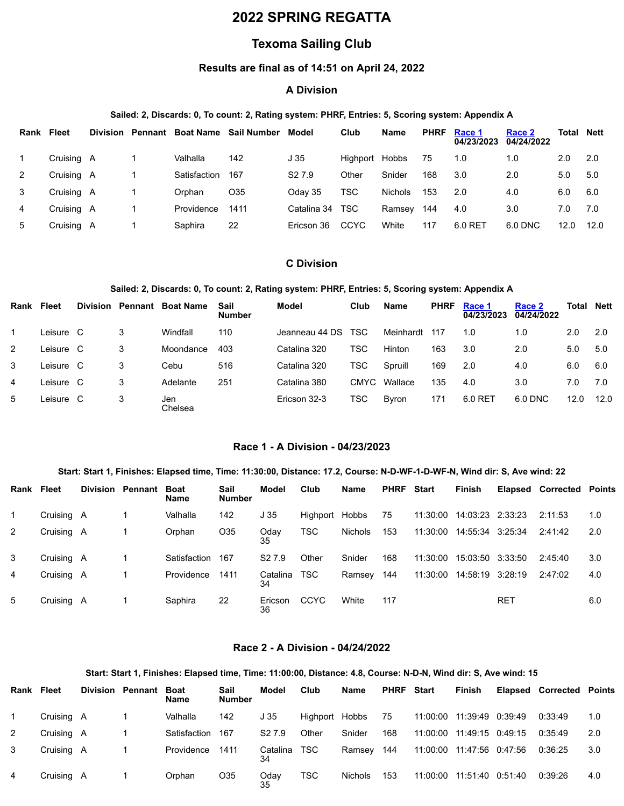# **2022 SPRING REGATTA**

# **Texoma Sailing Club**

## **Results are final as of 14:51 on April 24, 2022**

## **A Division**

### **Sailed: 2, Discards: 0, To count: 2, Rating system: PHRF, Entries: 5, Scoring system: Appendix A**

| Rank | <b>Fleet</b> |  |              | Division Pennant Boat Name Sail Number | Model              | Club        | Name           | <b>PHRF</b> | Race 1<br>04/23/2023 | Race 2<br>04/24/2022 | <b>Total Nett</b> |       |
|------|--------------|--|--------------|----------------------------------------|--------------------|-------------|----------------|-------------|----------------------|----------------------|-------------------|-------|
|      | Cruising A   |  | Valhalla     | 142                                    | J 35               | Highport    | Hobbs          | 75          | 1.0                  | 1.0                  | 2.0               | - 2.0 |
| 2    | Cruising A   |  | Satisfaction | 167                                    | S <sub>2</sub> 7.9 | Other       | Snider         | 168         | 3.0                  | 2.0                  | 5.0               | 5.0   |
| 3    | Cruising A   |  | Orphan       | O <sub>35</sub>                        | Odav 35            | TSC         | <b>Nichols</b> | 153         | 2.0                  | 4.0                  | 6.0               | 6.0   |
| 4    | Cruising A   |  | Providence   | 1411                                   | Catalina 34        | <b>TSC</b>  | Ramsey         | 144         | 4.0                  | 3.0                  | 7.0               | 7.0   |
| 5    | Cruising A   |  | Saphira      | 22                                     | Ericson 36         | <b>CCYC</b> | White          | 117         | 6.0 RET              | 6.0 DNC              | 12.0              | 12.0  |

## **C Division**

### **Sailed: 2, Discards: 0, To count: 2, Rating system: PHRF, Entries: 5, Scoring system: Appendix A**

| Rank | <b>Fleet</b> | <b>Division Pennant</b> | <b>Boat Name</b> | Sail<br><b>Number</b> | Model          | Club        | <b>Name</b>   | <b>PHRF</b> | Race 1<br>04/23/2023 | Race 2<br>04/24/2022 | Total | <b>Nett</b> |
|------|--------------|-------------------------|------------------|-----------------------|----------------|-------------|---------------|-------------|----------------------|----------------------|-------|-------------|
|      | Leisure C    | 3                       | Windfall         | 110                   | Jeanneau 44 DS | TSC.        | Meinhardt     | 117         | 1.0                  | 1.0                  | 2.0   | 2.0         |
| 2    | Leisure C    | 3                       | Moondance        | 403                   | Catalina 320   | TSC         | Hinton        | 163         | 3.0                  | 2.0                  | 5.0   | 5.0         |
| 3    | Leisure C    | 3                       | Cebu             | 516                   | Catalina 320   | TSC         | Spruill       | 169         | 2.0                  | 4.0                  | 6.0   | 6.0         |
| 4    | Leisure C    | 3                       | Adelante         | 251                   | Catalina 380   | <b>CMYC</b> | Wallace       | 135         | 4.0                  | 3.0                  | 7.0   | 7.0         |
| 5    | Leisure C    | 3                       | Jen<br>Chelsea   |                       | Ericson 32-3   | TSC         | <b>B</b> vron | 171         | 6.0 RET              | 6.0 DNC              | 12.0  | 12.0        |

#### **Race 1 - A Division - 04/23/2023**

#### Start: Start 1, Finishes: Elapsed time, Time: 11:30:00, Distance: 17.2, Course: N-D-WF-1-D-WF-N, Wind dir: S, Ave wind: 22

<span id="page-0-0"></span>

| Rank | <b>Fleet</b> | <b>Division Pennant</b> | <b>Boat</b><br><b>Name</b> | Sail<br><b>Number</b> | Model              | Club           | Name    | <b>PHRF</b> | <b>Start</b> | Finish           |            | <b>Elapsed Corrected Points</b> |     |
|------|--------------|-------------------------|----------------------------|-----------------------|--------------------|----------------|---------|-------------|--------------|------------------|------------|---------------------------------|-----|
|      | Cruising A   |                         | Valhalla                   | 142                   | J <sub>35</sub>    | Highport Hobbs |         | 75          | 11:30:00     | 14:03:23 2:33:23 |            | 2:11:53                         | 1.0 |
| 2    | Cruising A   |                         | Orphan                     | O <sub>35</sub>       | Oday<br>35         | TSC            | Nichols | 153         | 11:30:00     | 14:55:34 3:25:34 |            | 2:41:42                         | 2.0 |
| 3    | Cruising A   |                         | Satisfaction               | 167                   | S <sub>2</sub> 7.9 | Other          | Snider  | 168         | 11:30:00     | 15:03:50 3:33:50 |            | 2:45:40                         | 3.0 |
| 4    | Cruising A   |                         | Providence                 | 1411                  | Catalina<br>34     | TSC            | Ramsey  | 144         | 11:30:00     | 14:58:19 3:28:19 |            | 2:47:02                         | 4.0 |
| 5    | Cruising A   |                         | Saphira                    | 22                    | Ericson<br>36      | <b>CCYC</b>    | White   | 117         |              |                  | <b>RET</b> |                                 | 6.0 |

#### **Race 2 - A Division - 04/24/2022**

#### Start: Start 1, Finishes: Elapsed time, Time: 11:00:00, Distance: 4.8, Course: N-D-N, Wind dir: S, Ave wind: 15

<span id="page-0-1"></span>

| Rank Fleet |            |   | <b>Division Pennant</b> | <b>Boat</b><br><b>Name</b> | Sail<br><b>Number</b> | Model              | Club           | Name    | <b>PHRF</b> Start | Finish                      | <b>Elapsed Corrected Points</b> |     |
|------------|------------|---|-------------------------|----------------------------|-----------------------|--------------------|----------------|---------|-------------------|-----------------------------|---------------------------------|-----|
|            | Cruising A |   |                         | Valhalla                   | 142                   | J <sub>35</sub>    | Highport Hobbs |         | 75                | 11:00:00  11:39:49  0:39:49 | 0:33:49                         | 1.0 |
| 2          | Cruising   | A |                         | Satisfaction               | 167                   | S <sub>2</sub> 7.9 | Other          | Snider  | 168               | 11:00:00  11:49:15  0:49:15 | 0:35:49                         | 2.0 |
| 3          | Cruising A |   |                         | Providence                 | 1411                  | Catalina<br>34     | TSC            | Ramsey  | 144               | 11:00:00 11:47:56 0:47:56   | 0:36:25                         | 3.0 |
| 4          | Cruising A |   |                         | Orphan                     | O <sub>35</sub>       | Oday<br>35         | <b>TSC</b>     | Nichols | 153               | 11:00:00  11:51:40  0:51:40 | 0:39:26                         | 4.0 |